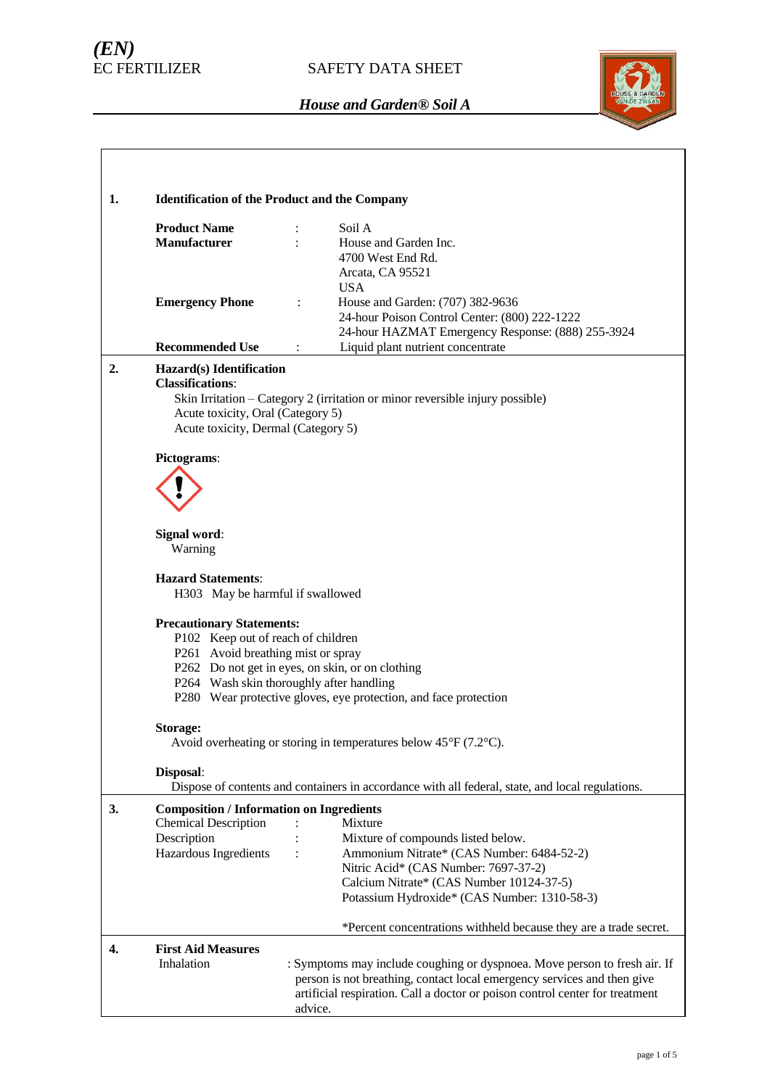# *(EN)*



| 1. | <b>Identification of the Product and the Company</b>                                                                                                                                                             |                                                                                                                                                                                                                                                  |  |  |
|----|------------------------------------------------------------------------------------------------------------------------------------------------------------------------------------------------------------------|--------------------------------------------------------------------------------------------------------------------------------------------------------------------------------------------------------------------------------------------------|--|--|
|    | <b>Product Name</b><br><b>Manufacturer</b>                                                                                                                                                                       | Soil A<br>House and Garden Inc.<br>4700 West End Rd.<br>Arcata, CA 95521                                                                                                                                                                         |  |  |
|    | <b>Emergency Phone</b>                                                                                                                                                                                           | <b>USA</b><br>House and Garden: (707) 382-9636<br>$\ddot{\cdot}$<br>24-hour Poison Control Center: (800) 222-1222<br>24-hour HAZMAT Emergency Response: (888) 255-3924                                                                           |  |  |
|    | <b>Recommended Use</b>                                                                                                                                                                                           | Liquid plant nutrient concentrate<br>$\ddot{\cdot}$                                                                                                                                                                                              |  |  |
| 2. | Hazard(s) Identification<br><b>Classifications:</b><br>Skin Irritation - Category 2 (irritation or minor reversible injury possible)<br>Acute toxicity, Oral (Category 5)<br>Acute toxicity, Dermal (Category 5) |                                                                                                                                                                                                                                                  |  |  |
|    | Pictograms:                                                                                                                                                                                                      |                                                                                                                                                                                                                                                  |  |  |
|    |                                                                                                                                                                                                                  |                                                                                                                                                                                                                                                  |  |  |
|    | Signal word:<br>Warning                                                                                                                                                                                          |                                                                                                                                                                                                                                                  |  |  |
|    | <b>Hazard Statements:</b><br>H303 May be harmful if swallowed                                                                                                                                                    |                                                                                                                                                                                                                                                  |  |  |
|    | <b>Precautionary Statements:</b><br>P102 Keep out of reach of children<br>P261 Avoid breathing mist or spray                                                                                                     | P262 Do not get in eyes, on skin, or on clothing<br>P264 Wash skin thoroughly after handling<br>P280 Wear protective gloves, eye protection, and face protection                                                                                 |  |  |
|    | Storage:                                                                                                                                                                                                         | Avoid overheating or storing in temperatures below $45^{\circ}F(7.2^{\circ}C)$ .                                                                                                                                                                 |  |  |
|    | Disposal:                                                                                                                                                                                                        | Dispose of contents and containers in accordance with all federal, state, and local regulations.                                                                                                                                                 |  |  |
| 3. | <b>Composition / Information on Ingredients</b><br><b>Chemical Description</b><br>Description<br>Hazardous Ingredients                                                                                           | Mixture<br>Mixture of compounds listed below.<br>Ammonium Nitrate* (CAS Number: 6484-52-2)<br>$\ddot{\cdot}$<br>Nitric Acid* (CAS Number: 7697-37-2)<br>Calcium Nitrate* (CAS Number 10124-37-5)<br>Potassium Hydroxide* (CAS Number: 1310-58-3) |  |  |
|    |                                                                                                                                                                                                                  | *Percent concentrations withheld because they are a trade secret.                                                                                                                                                                                |  |  |
| 4. | <b>First Aid Measures</b><br>Inhalation                                                                                                                                                                          | : Symptoms may include coughing or dyspnoea. Move person to fresh air. If<br>person is not breathing, contact local emergency services and then give<br>artificial respiration. Call a doctor or poison control center for treatment<br>advice.  |  |  |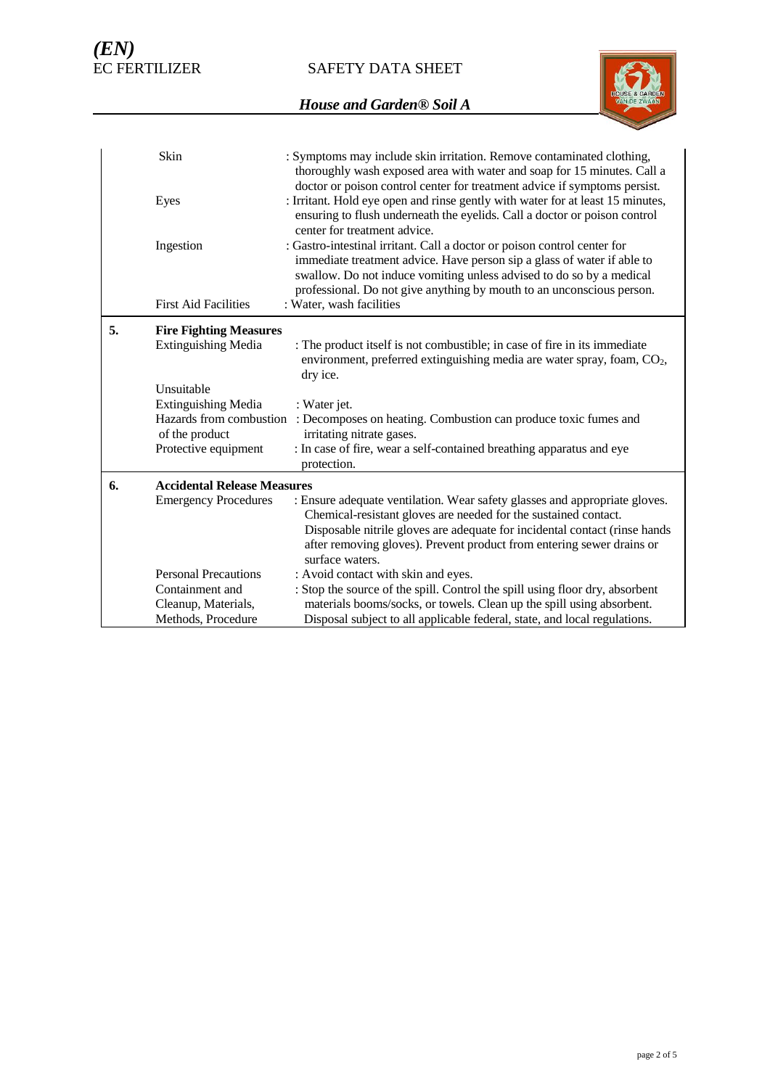SAFETY DATA SHEET



|    | Skin                                      | : Symptoms may include skin irritation. Remove contaminated clothing,<br>thoroughly wash exposed area with water and soap for 15 minutes. Call a<br>doctor or poison control center for treatment advice if symptoms persist.                                                                                           |
|----|-------------------------------------------|-------------------------------------------------------------------------------------------------------------------------------------------------------------------------------------------------------------------------------------------------------------------------------------------------------------------------|
|    | Eyes                                      | : Irritant. Hold eye open and rinse gently with water for at least 15 minutes,<br>ensuring to flush underneath the eyelids. Call a doctor or poison control<br>center for treatment advice.                                                                                                                             |
|    | Ingestion                                 | : Gastro-intestinal irritant. Call a doctor or poison control center for<br>immediate treatment advice. Have person sip a glass of water if able to<br>swallow. Do not induce vomiting unless advised to do so by a medical<br>professional. Do not give anything by mouth to an unconscious person.                    |
|    | <b>First Aid Facilities</b>               | : Water, wash facilities                                                                                                                                                                                                                                                                                                |
| 5. | <b>Fire Fighting Measures</b>             |                                                                                                                                                                                                                                                                                                                         |
|    | <b>Extinguishing Media</b>                | : The product itself is not combustible; in case of fire in its immediate<br>environment, preferred extinguishing media are water spray, foam, CO <sub>2</sub> ,<br>dry ice.                                                                                                                                            |
|    | Unsuitable                                |                                                                                                                                                                                                                                                                                                                         |
|    | <b>Extinguishing Media</b>                | : Water jet.                                                                                                                                                                                                                                                                                                            |
|    | Hazards from combustion<br>of the product | : Decomposes on heating. Combustion can produce toxic fumes and<br>irritating nitrate gases.                                                                                                                                                                                                                            |
|    | Protective equipment                      | : In case of fire, wear a self-contained breathing apparatus and eye<br>protection.                                                                                                                                                                                                                                     |
| 6. | <b>Accidental Release Measures</b>        |                                                                                                                                                                                                                                                                                                                         |
|    | <b>Emergency Procedures</b>               | : Ensure adequate ventilation. Wear safety glasses and appropriate gloves.<br>Chemical-resistant gloves are needed for the sustained contact.<br>Disposable nitrile gloves are adequate for incidental contact (rinse hands<br>after removing gloves). Prevent product from entering sewer drains or<br>surface waters. |
|    | <b>Personal Precautions</b>               | : Avoid contact with skin and eyes.                                                                                                                                                                                                                                                                                     |
|    | Containment and                           | : Stop the source of the spill. Control the spill using floor dry, absorbent                                                                                                                                                                                                                                            |
|    | Cleanup, Materials,                       | materials booms/socks, or towels. Clean up the spill using absorbent.                                                                                                                                                                                                                                                   |
|    | Methods, Procedure                        | Disposal subject to all applicable federal, state, and local regulations.                                                                                                                                                                                                                                               |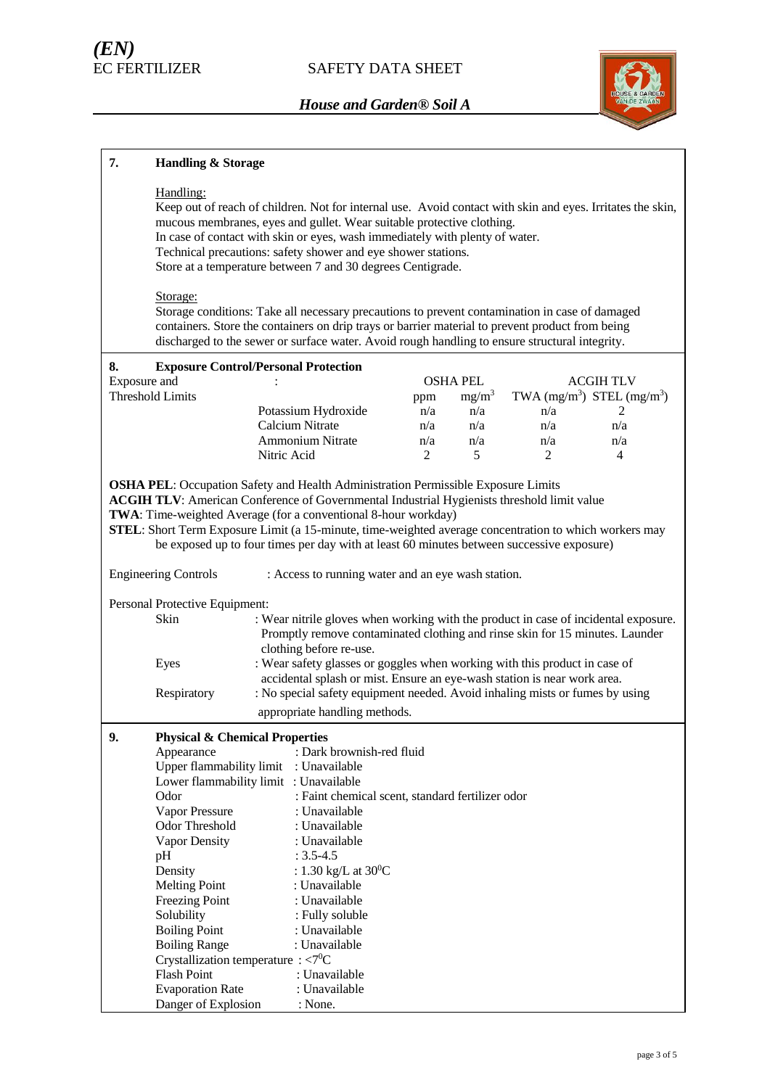

#### **7. Handling & Storage** Handling: Keep out of reach of children. Not for internal use. Avoid contact with skin and eyes. Irritates the skin, mucous membranes, eyes and gullet. Wear suitable protective clothing. In case of contact with skin or eyes, wash immediately with plenty of water. Technical precautions: safety shower and eye shower stations. Store at a temperature between 7 and 30 degrees Centigrade. Storage: Storage conditions: Take all necessary precautions to prevent contamination in case of damaged containers. Store the containers on drip trays or barrier material to prevent product from being discharged to the sewer or surface water. Avoid rough handling to ensure structural integrity. **8. Exposure Control/Personal Protection** Exposure and  $\qquad$ :  $\qquad$  OSHA PEL ACGIH TLV Threshold Limits ppm  $mg/m<sup>3</sup>$ ) STEL  $(mg/m<sup>3</sup>)$ Potassium Hydroxide  $n/a$   $n/a$   $n/a$   $2$ Calcium Nitrate  $n/a$  n/a  $n/a$  n/a n/a Ammonium Nitrate n/a n/a n/a n/a Nitric Acid 2 5 2 4 **OSHA PEL**: Occupation Safety and Health Administration Permissible Exposure Limits **ACGIH TLV**: American Conference of Governmental Industrial Hygienists threshold limit value **TWA**: Time-weighted Average (for a conventional 8-hour workday) **STEL**: Short Term Exposure Limit (a 15-minute, time-weighted average concentration to which workers may be exposed up to four times per day with at least 60 minutes between successive exposure) Engineering Controls : Access to running water and an eye wash station. Personal Protective Equipment: Skin : Wear nitrile gloves when working with the product in case of incidental exposure. Promptly remove contaminated clothing and rinse skin for 15 minutes. Launder clothing before re-use. Eyes : Wear safety glasses or goggles when working with this product in case of accidental splash or mist. Ensure an eye-wash station is near work area. Respiratory : No special safety equipment needed. Avoid inhaling mists or fumes by using appropriate handling methods. **9. Physical & Chemical Properties** Appearance : Dark brownish-red fluid Upper flammability limit : Unavailable Lower flammability limit : Unavailable Odor : Faint chemical scent, standard fertilizer odor Vapor Pressure : Unavailable Odor Threshold : Unavailable Vapor Density : Unavailable pH : 3.5-4.5 Density :  $1.30 \text{ kg/L}$  at  $30^0$ C Melting Point : Unavailable Freezing Point : Unavailable Solubility : Fully soluble Boiling Point : Unavailable Boiling Range : Unavailable Crystallization temperature :  $<$ 7<sup>0</sup>C Flash Point : Unavailable Evaporation Rate : Unavailable Danger of Explosion : None.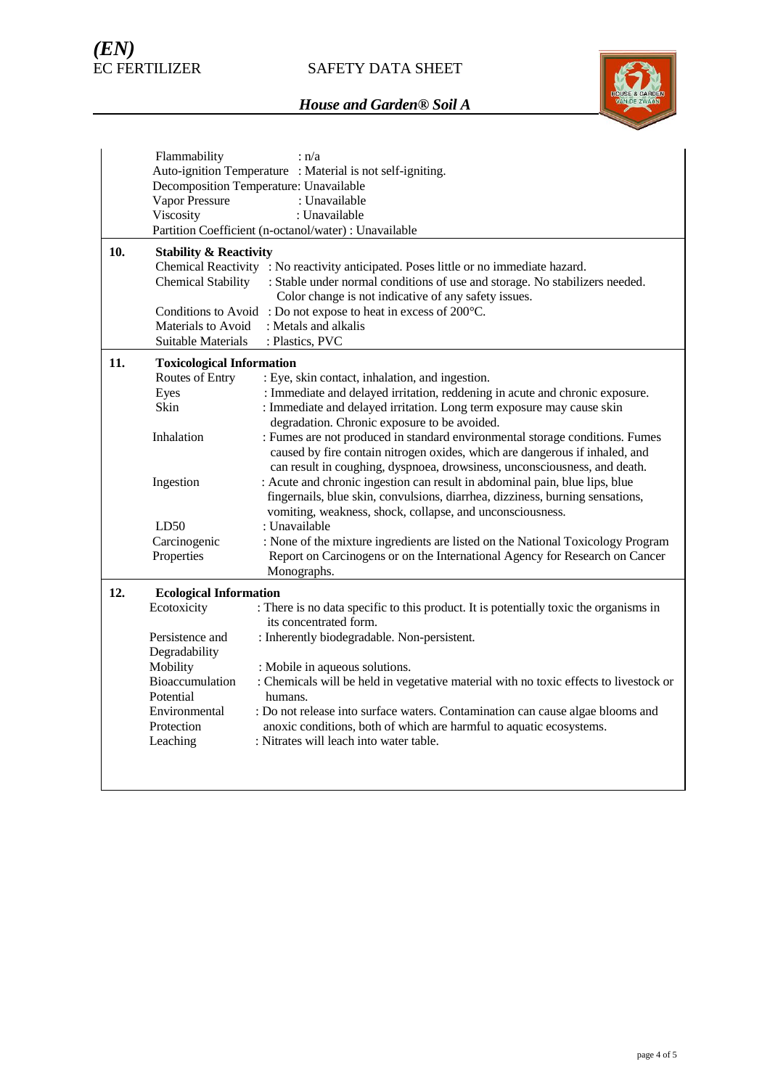# SAFETY DATA SHEET



|     | Flammability                                               | : n/a                                                                                 |  |  |
|-----|------------------------------------------------------------|---------------------------------------------------------------------------------------|--|--|
|     | Auto-ignition Temperature : Material is not self-igniting. |                                                                                       |  |  |
|     | Decomposition Temperature: Unavailable                     |                                                                                       |  |  |
|     | Vapor Pressure                                             | : Unavailable                                                                         |  |  |
|     | Viscosity                                                  | : Unavailable                                                                         |  |  |
|     |                                                            | Partition Coefficient (n-octanol/water) : Unavailable                                 |  |  |
| 10. | <b>Stability &amp; Reactivity</b>                          |                                                                                       |  |  |
|     |                                                            | Chemical Reactivity : No reactivity anticipated. Poses little or no immediate hazard. |  |  |
|     | <b>Chemical Stability</b>                                  | : Stable under normal conditions of use and storage. No stabilizers needed.           |  |  |
|     |                                                            | Color change is not indicative of any safety issues.                                  |  |  |
|     |                                                            | Conditions to Avoid: Do not expose to heat in excess of 200°C.                        |  |  |
|     | Materials to Avoid                                         | : Metals and alkalis                                                                  |  |  |
|     | Suitable Materials                                         | : Plastics, PVC                                                                       |  |  |
| 11. | <b>Toxicological Information</b>                           |                                                                                       |  |  |
|     | Routes of Entry                                            | : Eye, skin contact, inhalation, and ingestion.                                       |  |  |
|     | Eyes                                                       | : Immediate and delayed irritation, reddening in acute and chronic exposure.          |  |  |
|     | <b>Skin</b>                                                | : Immediate and delayed irritation. Long term exposure may cause skin                 |  |  |
|     |                                                            | degradation. Chronic exposure to be avoided.                                          |  |  |
|     | Inhalation                                                 | : Fumes are not produced in standard environmental storage conditions. Fumes          |  |  |
|     |                                                            | caused by fire contain nitrogen oxides, which are dangerous if inhaled, and           |  |  |
|     |                                                            | can result in coughing, dyspnoea, drowsiness, unconsciousness, and death.             |  |  |
|     | Ingestion                                                  | : Acute and chronic ingestion can result in abdominal pain, blue lips, blue           |  |  |
|     |                                                            | fingernails, blue skin, convulsions, diarrhea, dizziness, burning sensations,         |  |  |
|     |                                                            | vomiting, weakness, shock, collapse, and unconsciousness.                             |  |  |
|     | LD50                                                       | : Unavailable                                                                         |  |  |
|     | Carcinogenic                                               | : None of the mixture ingredients are listed on the National Toxicology Program       |  |  |
|     | Properties                                                 | Report on Carcinogens or on the International Agency for Research on Cancer           |  |  |
|     |                                                            | Monographs.                                                                           |  |  |
| 12. | <b>Ecological Information</b>                              |                                                                                       |  |  |
|     | Ecotoxicity                                                | : There is no data specific to this product. It is potentially toxic the organisms in |  |  |
|     |                                                            | its concentrated form.                                                                |  |  |
|     | Persistence and                                            | : Inherently biodegradable. Non-persistent.                                           |  |  |
|     | Degradability                                              |                                                                                       |  |  |
|     | Mobility                                                   | : Mobile in aqueous solutions.                                                        |  |  |
|     | Bioaccumulation                                            | : Chemicals will be held in vegetative material with no toxic effects to livestock or |  |  |
|     | Potential                                                  | humans.                                                                               |  |  |
|     | Environmental                                              | : Do not release into surface waters. Contamination can cause algae blooms and        |  |  |
|     | Protection                                                 | anoxic conditions, both of which are harmful to aquatic ecosystems.                   |  |  |
|     | Leaching                                                   | : Nitrates will leach into water table.                                               |  |  |
|     |                                                            |                                                                                       |  |  |
|     |                                                            |                                                                                       |  |  |
|     |                                                            |                                                                                       |  |  |